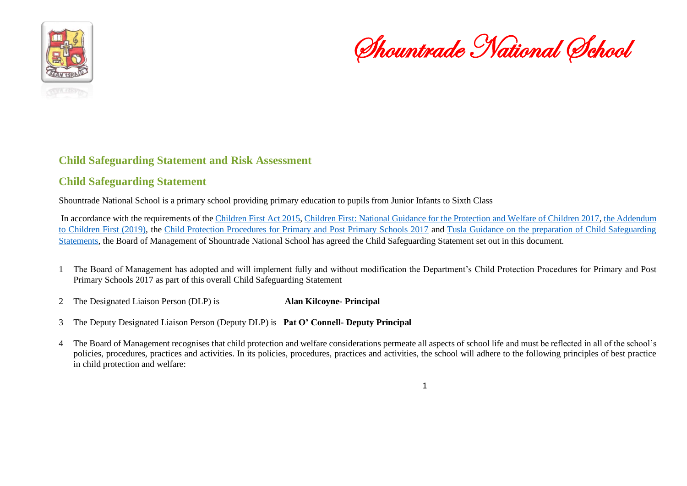

Shountrade National School

#### **Child Safeguarding Statement and Risk Assessment**

#### **Child Safeguarding Statement**

Shountrade National School is a primary school providing primary education to pupils from Junior Infants to Sixth Class

In accordance with the requirements of th[e Children First Act 2015,](http://www.irishstatutebook.ie/eli/2015/act/36/enacted/en/pdf) [Children First: National Guidance for the Protection and Welfare of Children 2017,](https://assets.gov.ie/25844/b90aafa55804462f84d05f87f0ca2bf6.pdf) [the Addendum](https://assets.gov.ie/25819/c9744b64dfd6447985eeffa5c0d71bbb.pdf)  [to Children First \(2019\),](https://assets.gov.ie/25819/c9744b64dfd6447985eeffa5c0d71bbb.pdf) the [Child Protection Procedures for Primary and Post Primary Schools 2017](https://www.gov.ie/pdf/?file=https://assets.gov.ie/45063/2d4b5b3d781e4ec1ab4f3e5d198717d9.pdf#page=1) and [Tusla Guidance on the preparation of Child Safeguarding](https://www.tusla.ie/uploads/content/4214-TUSLA_Guidance_on_Developing_a_CSS_LR.PDF)  [Statements,](https://www.tusla.ie/uploads/content/4214-TUSLA_Guidance_on_Developing_a_CSS_LR.PDF) the Board of Management of Shountrade National School has agreed the Child Safeguarding Statement set out in this document.

- 1 The Board of Management has adopted and will implement fully and without modification the Department's Child Protection Procedures for Primary and Post Primary Schools 2017 as part of this overall Child Safeguarding Statement
- 2 The Designated Liaison Person (DLP) is **Alan Kilcoyne- Principal**
- 3 The Deputy Designated Liaison Person (Deputy DLP) is **Pat O' Connell- Deputy Principal**
- 4 The Board of Management recognises that child protection and welfare considerations permeate all aspects of school life and must be reflected in all of the school's policies, procedures, practices and activities. In its policies, procedures, practices and activities, the school will adhere to the following principles of best practice in child protection and welfare: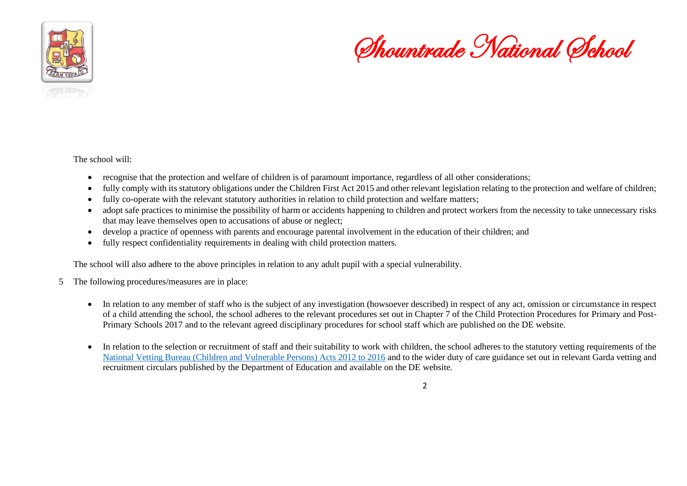

Shountrade National School

The school will:

- recognise that the protection and welfare of children is of paramount importance, regardless of all other considerations;
- fully comply with its statutory obligations under the Children First Act 2015 and other relevant legislation relating to the protection and welfare of children;
- fully co-operate with the relevant statutory authorities in relation to child protection and welfare matters;
- adopt safe practices to minimise the possibility of harm or accidents happening to children and protect workers from the necessity to take unnecessary risks that may leave themselves open to accusations of abuse or neglect;
- develop a practice of openness with parents and encourage parental involvement in the education of their children; and
- fully respect confidentiality requirements in dealing with child protection matters.

The school will also adhere to the above principles in relation to any adult pupil with a special vulnerability.

- 5 The following procedures/measures are in place:
	- In relation to any member of staff who is the subject of any investigation (howsoever described) in respect of any act, omission or circumstance in respect of a child attending the school, the school adheres to the relevant procedures set out in Chapter 7 of the Child Protection Procedures for Primary and Post-Primary Schools 2017 and to the relevant agreed disciplinary procedures for school staff which are published on the DE website.
	- In relation to the selection or recruitment of staff and their suitability to work with children, the school adheres to the statutory vetting requirements of the [National Vetting Bureau \(Children and Vulnerable Persons\) Acts 2012 to 2016](https://revisedacts.lawreform.ie/eli/2012/act/47/revised/en/pdf) and to the wider duty of care guidance set out in relevant Garda vetting and recruitment circulars published by the Department of Education and available on the DE website.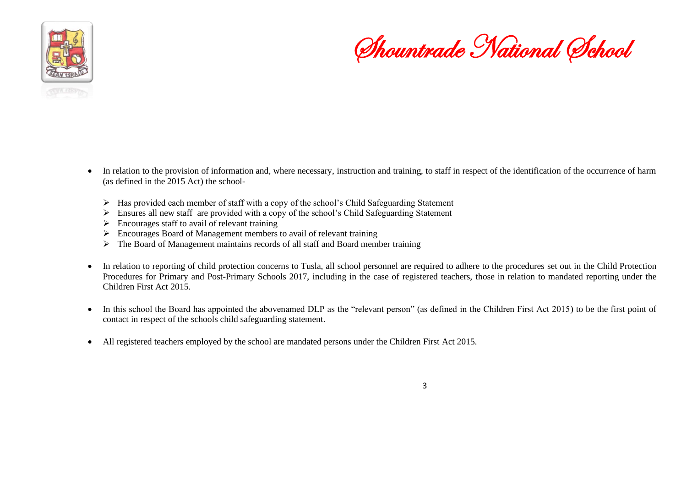

Shountrade National School

- In relation to the provision of information and, where necessary, instruction and training, to staff in respect of the identification of the occurrence of harm (as defined in the 2015 Act) the school-
	- ➢ Has provided each member of staff with a copy of the school's Child Safeguarding Statement
	- $\triangleright$  Ensures all new staff are provided with a copy of the school's Child Safeguarding Statement
	- $\triangleright$  Encourages staff to avail of relevant training
	- ➢ Encourages Board of Management members to avail of relevant training
	- ➢ The Board of Management maintains records of all staff and Board member training
- In relation to reporting of child protection concerns to Tusla, all school personnel are required to adhere to the procedures set out in the Child Protection Procedures for Primary and Post-Primary Schools 2017, including in the case of registered teachers, those in relation to mandated reporting under the Children First Act 2015.
- In this school the Board has appointed the abovenamed DLP as the "relevant person" (as defined in the Children First Act 2015) to be the first point of contact in respect of the schools child safeguarding statement.
- All registered teachers employed by the school are mandated persons under the Children First Act 2015.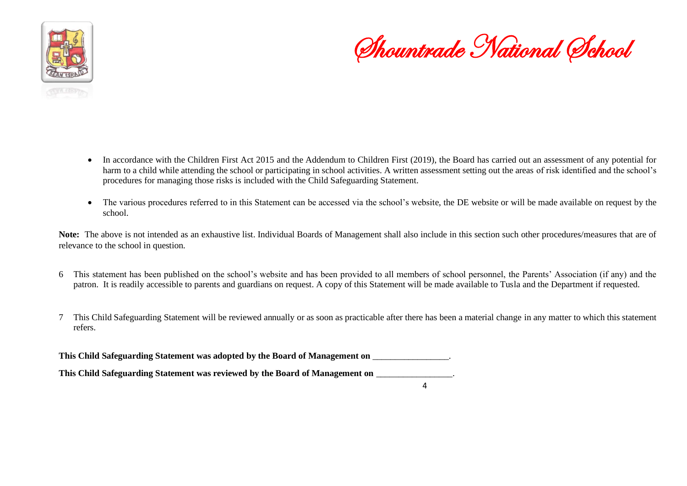

Shountrade National School

- In accordance with the Children First Act 2015 and the Addendum to Children First (2019), the Board has carried out an assessment of any potential for harm to a child while attending the school or participating in school activities. A written assessment setting out the areas of risk identified and the school's procedures for managing those risks is included with the Child Safeguarding Statement.
- The various procedures referred to in this Statement can be accessed via the school's website, the DE website or will be made available on request by the school.

Note: The above is not intended as an exhaustive list. Individual Boards of Management shall also include in this section such other procedures/measures that are of relevance to the school in question.

- 6 This statement has been published on the school's website and has been provided to all members of school personnel, the Parents' Association (if any) and the patron. It is readily accessible to parents and guardians on request. A copy of this Statement will be made available to Tusla and the Department if requested.
- 7 This Child Safeguarding Statement will be reviewed annually or as soon as practicable after there has been a material change in any matter to which this statement refers.

**This Child Safeguarding Statement was adopted by the Board of Management on** \_\_\_\_\_\_\_\_\_\_\_\_\_\_\_\_\_.

**This Child Safeguarding Statement was reviewed by the Board of Management on** \_\_\_\_\_\_\_\_\_\_\_\_\_\_\_\_\_.

 $\mathbf{A}$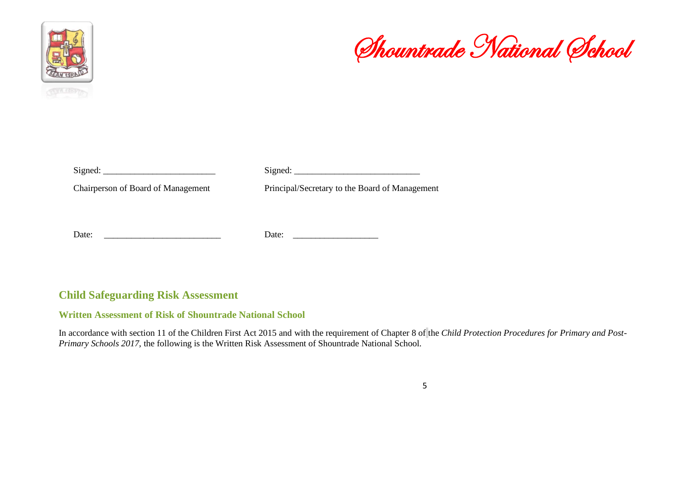



Signed: \_\_\_\_\_\_\_\_\_\_\_\_\_\_\_\_\_\_\_\_\_\_\_\_\_ Signed: \_\_\_\_\_\_\_\_\_\_\_\_\_\_\_\_\_\_\_\_\_\_\_\_\_\_\_\_

Chairperson of Board of Management Principal/Secretary to the Board of Management

Date: \_\_\_\_\_\_\_\_\_\_\_\_\_\_\_\_\_\_\_\_\_\_\_\_\_\_ Date: \_\_\_\_\_\_\_\_\_\_\_\_\_\_\_\_\_\_\_

### **Child Safeguarding Risk Assessment**

#### **Written Assessment of Risk of Shountrade National School**

In accordance with section 11 of the Children First Act 2015 and with the requirement of Chapter 8 of the *Child Protection Procedures for Primary and Post-Primary Schools 2017*, the following is the Written Risk Assessment of Shountrade National School.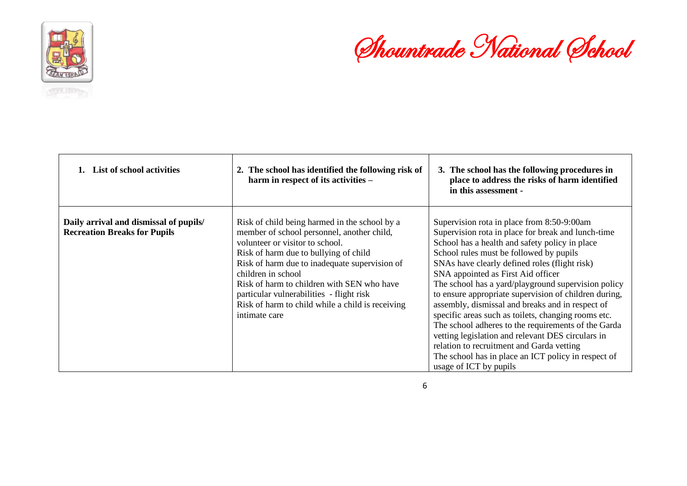



| List of school activities                                                     | 2. The school has identified the following risk of<br>harm in respect of its activities -                                                                                                                                                                                                                                                                                                                     | 3. The school has the following procedures in<br>place to address the risks of harm identified<br>in this assessment -                                                                                                                                                                                                                                                                                                                                                                                                                                                                                                                                                                                                                                    |
|-------------------------------------------------------------------------------|---------------------------------------------------------------------------------------------------------------------------------------------------------------------------------------------------------------------------------------------------------------------------------------------------------------------------------------------------------------------------------------------------------------|-----------------------------------------------------------------------------------------------------------------------------------------------------------------------------------------------------------------------------------------------------------------------------------------------------------------------------------------------------------------------------------------------------------------------------------------------------------------------------------------------------------------------------------------------------------------------------------------------------------------------------------------------------------------------------------------------------------------------------------------------------------|
| Daily arrival and dismissal of pupils/<br><b>Recreation Breaks for Pupils</b> | Risk of child being harmed in the school by a<br>member of school personnel, another child,<br>volunteer or visitor to school.<br>Risk of harm due to bullying of child<br>Risk of harm due to inadequate supervision of<br>children in school<br>Risk of harm to children with SEN who have<br>particular vulnerabilities - flight risk<br>Risk of harm to child while a child is receiving<br>intimate care | Supervision rota in place from 8:50-9:00am<br>Supervision rota in place for break and lunch-time<br>School has a health and safety policy in place<br>School rules must be followed by pupils<br>SNAs have clearly defined roles (flight risk)<br>SNA appointed as First Aid officer<br>The school has a yard/playground supervision policy<br>to ensure appropriate supervision of children during,<br>assembly, dismissal and breaks and in respect of<br>specific areas such as toilets, changing rooms etc.<br>The school adheres to the requirements of the Garda<br>vetting legislation and relevant DES circulars in<br>relation to recruitment and Garda vetting<br>The school has in place an ICT policy in respect of<br>usage of ICT by pupils |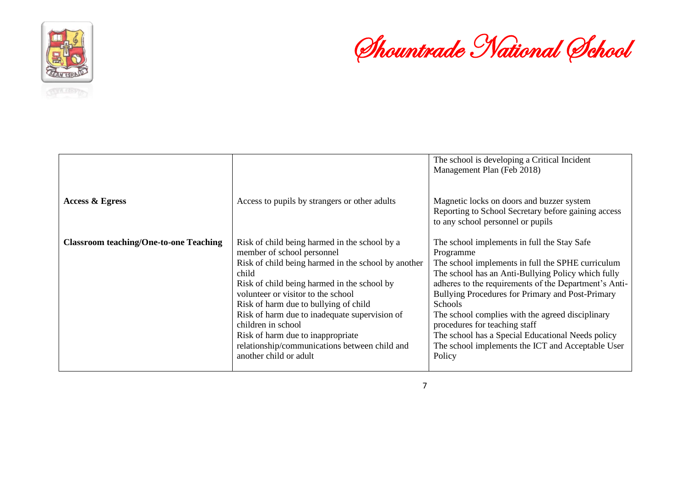



|                                               |                                                                                                                                                                                                                                                                                                                                                                                                                                                                  | The school is developing a Critical Incident<br>Management Plan (Feb 2018)                                                                                                                                                                                                                                                                                                                                                                                                                                  |
|-----------------------------------------------|------------------------------------------------------------------------------------------------------------------------------------------------------------------------------------------------------------------------------------------------------------------------------------------------------------------------------------------------------------------------------------------------------------------------------------------------------------------|-------------------------------------------------------------------------------------------------------------------------------------------------------------------------------------------------------------------------------------------------------------------------------------------------------------------------------------------------------------------------------------------------------------------------------------------------------------------------------------------------------------|
| <b>Access &amp; Egress</b>                    | Access to pupils by strangers or other adults                                                                                                                                                                                                                                                                                                                                                                                                                    | Magnetic locks on doors and buzzer system<br>Reporting to School Secretary before gaining access<br>to any school personnel or pupils                                                                                                                                                                                                                                                                                                                                                                       |
| <b>Classroom teaching/One-to-one Teaching</b> | Risk of child being harmed in the school by a<br>member of school personnel<br>Risk of child being harmed in the school by another<br>child<br>Risk of child being harmed in the school by<br>volunteer or visitor to the school<br>Risk of harm due to bullying of child<br>Risk of harm due to inadequate supervision of<br>children in school<br>Risk of harm due to inappropriate<br>relationship/communications between child and<br>another child or adult | The school implements in full the Stay Safe<br>Programme<br>The school implements in full the SPHE curriculum<br>The school has an Anti-Bullying Policy which fully<br>adheres to the requirements of the Department's Anti-<br>Bullying Procedures for Primary and Post-Primary<br><b>Schools</b><br>The school complies with the agreed disciplinary<br>procedures for teaching staff<br>The school has a Special Educational Needs policy<br>The school implements the ICT and Acceptable User<br>Policy |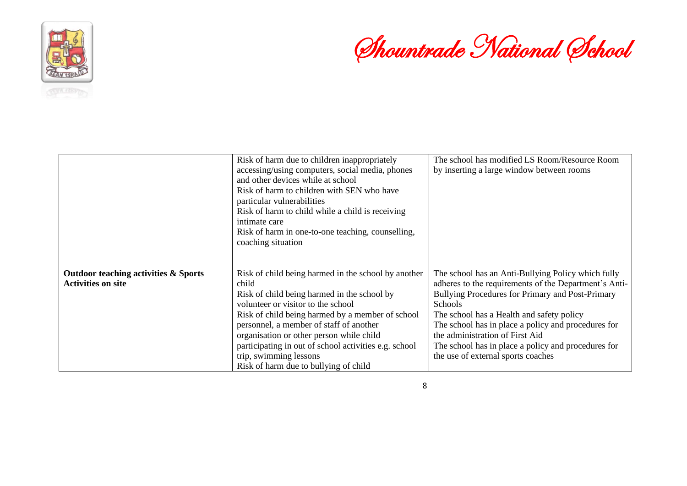



|                                                                   | Risk of harm due to children inappropriately<br>accessing/using computers, social media, phones<br>and other devices while at school<br>Risk of harm to children with SEN who have<br>particular vulnerabilities<br>Risk of harm to child while a child is receiving<br>intimate care<br>Risk of harm in one-to-one teaching, counselling,<br>coaching situation                                                         | The school has modified LS Room/Resource Room<br>by inserting a large window between rooms                                                                                                                                                                                                                                                                                                                            |
|-------------------------------------------------------------------|--------------------------------------------------------------------------------------------------------------------------------------------------------------------------------------------------------------------------------------------------------------------------------------------------------------------------------------------------------------------------------------------------------------------------|-----------------------------------------------------------------------------------------------------------------------------------------------------------------------------------------------------------------------------------------------------------------------------------------------------------------------------------------------------------------------------------------------------------------------|
| Outdoor teaching activities & Sports<br><b>Activities on site</b> | Risk of child being harmed in the school by another<br>child<br>Risk of child being harmed in the school by<br>volunteer or visitor to the school<br>Risk of child being harmed by a member of school<br>personnel, a member of staff of another<br>organisation or other person while child<br>participating in out of school activities e.g. school<br>trip, swimming lessons<br>Risk of harm due to bullying of child | The school has an Anti-Bullying Policy which fully<br>adheres to the requirements of the Department's Anti-<br>Bullying Procedures for Primary and Post-Primary<br><b>Schools</b><br>The school has a Health and safety policy<br>The school has in place a policy and procedures for<br>the administration of First Aid<br>The school has in place a policy and procedures for<br>the use of external sports coaches |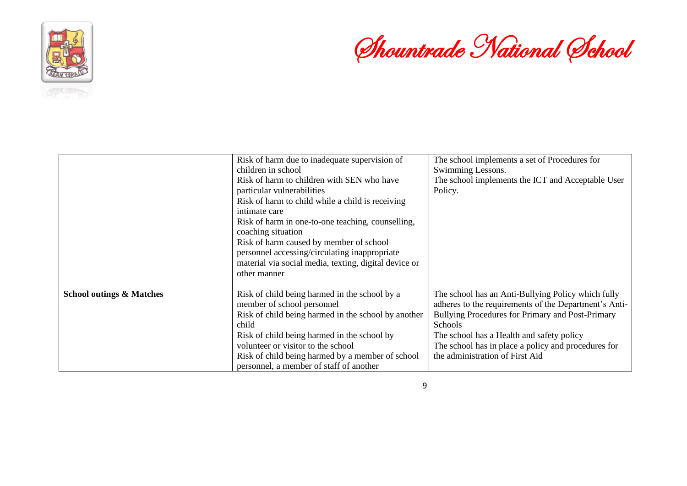



|                                     | Risk of harm due to inadequate supervision of         | The school implements a set of Procedures for         |
|-------------------------------------|-------------------------------------------------------|-------------------------------------------------------|
|                                     | children in school                                    | Swimming Lessons.                                     |
|                                     | Risk of harm to children with SEN who have            | The school implements the ICT and Acceptable User     |
|                                     | particular vulnerabilities                            | Policy.                                               |
|                                     | Risk of harm to child while a child is receiving      |                                                       |
|                                     | intimate care                                         |                                                       |
|                                     | Risk of harm in one-to-one teaching, counselling,     |                                                       |
|                                     | coaching situation                                    |                                                       |
|                                     | Risk of harm caused by member of school               |                                                       |
|                                     | personnel accessing/circulating inappropriate         |                                                       |
|                                     | material via social media, texting, digital device or |                                                       |
|                                     | other manner                                          |                                                       |
| <b>School outings &amp; Matches</b> | Risk of child being harmed in the school by a         | The school has an Anti-Bullying Policy which fully    |
|                                     | member of school personnel                            | adheres to the requirements of the Department's Anti- |
|                                     | Risk of child being harmed in the school by another   | Bullying Procedures for Primary and Post-Primary      |
|                                     | child                                                 | Schools                                               |
|                                     | Risk of child being harmed in the school by           | The school has a Health and safety policy             |
|                                     | volunteer or visitor to the school                    | The school has in place a policy and procedures for   |
|                                     | Risk of child being harmed by a member of school      | the administration of First Aid                       |
|                                     | personnel, a member of staff of another               |                                                       |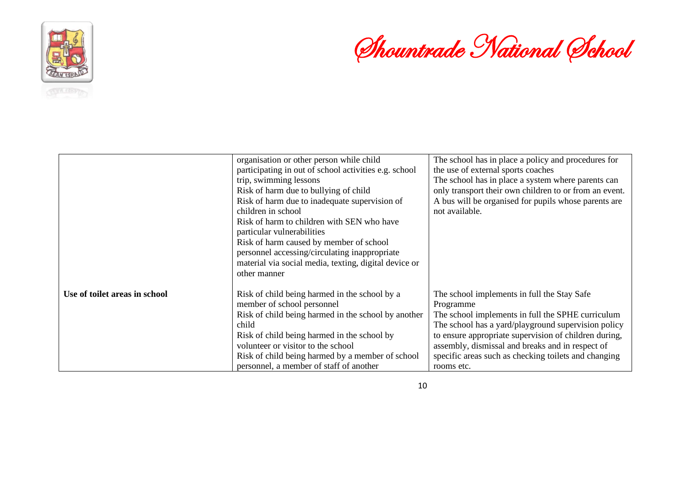

# Shountrade National School

|                               | organisation or other person while child<br>participating in out of school activities e.g. school<br>trip, swimming lessons<br>Risk of harm due to bullying of child<br>Risk of harm due to inadequate supervision of<br>children in school<br>Risk of harm to children with SEN who have<br>particular vulnerabilities<br>Risk of harm caused by member of school<br>personnel accessing/circulating inappropriate<br>material via social media, texting, digital device or | The school has in place a policy and procedures for<br>the use of external sports coaches<br>The school has in place a system where parents can<br>only transport their own children to or from an event.<br>A bus will be organised for pupils whose parents are<br>not available.                                                                     |
|-------------------------------|------------------------------------------------------------------------------------------------------------------------------------------------------------------------------------------------------------------------------------------------------------------------------------------------------------------------------------------------------------------------------------------------------------------------------------------------------------------------------|---------------------------------------------------------------------------------------------------------------------------------------------------------------------------------------------------------------------------------------------------------------------------------------------------------------------------------------------------------|
| Use of toilet areas in school | other manner<br>Risk of child being harmed in the school by a<br>member of school personnel<br>Risk of child being harmed in the school by another<br>child<br>Risk of child being harmed in the school by<br>volunteer or visitor to the school<br>Risk of child being harmed by a member of school<br>personnel, a member of staff of another                                                                                                                              | The school implements in full the Stay Safe<br>Programme<br>The school implements in full the SPHE curriculum<br>The school has a yard/playground supervision policy<br>to ensure appropriate supervision of children during,<br>assembly, dismissal and breaks and in respect of<br>specific areas such as checking toilets and changing<br>rooms etc. |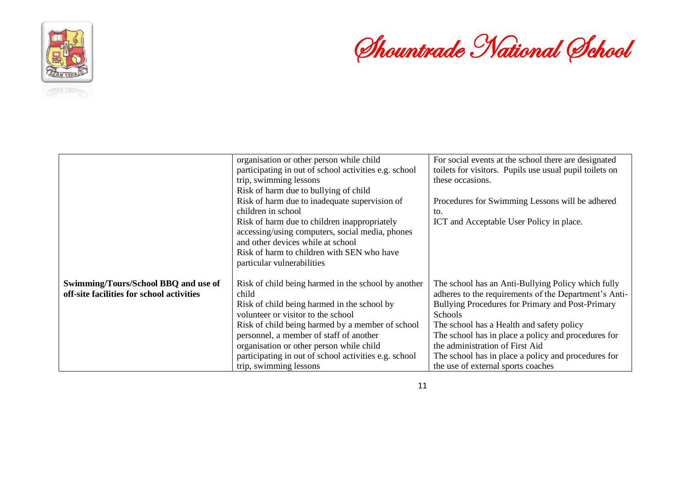



|                                                                                   | organisation or other person while child                     | For social events at the school there are designated                                                        |
|-----------------------------------------------------------------------------------|--------------------------------------------------------------|-------------------------------------------------------------------------------------------------------------|
|                                                                                   | participating in out of school activities e.g. school        | toilets for visitors. Pupils use usual pupil toilets on                                                     |
|                                                                                   | trip, swimming lessons                                       | these occasions.                                                                                            |
|                                                                                   | Risk of harm due to bullying of child                        |                                                                                                             |
|                                                                                   | Risk of harm due to inadequate supervision of                | Procedures for Swimming Lessons will be adhered                                                             |
|                                                                                   | children in school                                           | to.                                                                                                         |
|                                                                                   | Risk of harm due to children inappropriately                 | ICT and Acceptable User Policy in place.                                                                    |
|                                                                                   | accessing/using computers, social media, phones              |                                                                                                             |
|                                                                                   | and other devices while at school                            |                                                                                                             |
|                                                                                   | Risk of harm to children with SEN who have                   |                                                                                                             |
|                                                                                   | particular vulnerabilities                                   |                                                                                                             |
| Swimming/Tours/School BBQ and use of<br>off-site facilities for school activities | Risk of child being harmed in the school by another<br>child | The school has an Anti-Bullying Policy which fully<br>adheres to the requirements of the Department's Anti- |
|                                                                                   | Risk of child being harmed in the school by                  | Bullying Procedures for Primary and Post-Primary                                                            |
|                                                                                   | volunteer or visitor to the school                           | <b>Schools</b>                                                                                              |
|                                                                                   | Risk of child being harmed by a member of school             | The school has a Health and safety policy                                                                   |
|                                                                                   | personnel, a member of staff of another                      | The school has in place a policy and procedures for                                                         |
|                                                                                   | organisation or other person while child                     | the administration of First Aid                                                                             |
|                                                                                   | participating in out of school activities e.g. school        | The school has in place a policy and procedures for                                                         |
|                                                                                   | trip, swimming lessons                                       | the use of external sports coaches                                                                          |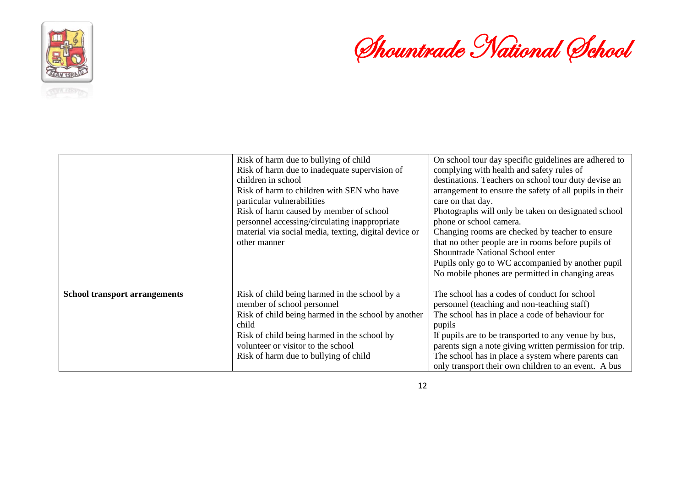

# Shountrade National School

|                                      | Risk of harm due to bullying of child<br>Risk of harm due to inadequate supervision of<br>children in school<br>Risk of harm to children with SEN who have<br>particular vulnerabilities<br>Risk of harm caused by member of school<br>personnel accessing/circulating inappropriate<br>material via social media, texting, digital device or<br>other manner | On school tour day specific guidelines are adhered to<br>complying with health and safety rules of<br>destinations. Teachers on school tour duty devise an<br>arrangement to ensure the safety of all pupils in their<br>care on that day.<br>Photographs will only be taken on designated school<br>phone or school camera.<br>Changing rooms are checked by teacher to ensure<br>that no other people are in rooms before pupils of<br>Shountrade National School enter<br>Pupils only go to WC accompanied by another pupil<br>No mobile phones are permitted in changing areas |
|--------------------------------------|---------------------------------------------------------------------------------------------------------------------------------------------------------------------------------------------------------------------------------------------------------------------------------------------------------------------------------------------------------------|------------------------------------------------------------------------------------------------------------------------------------------------------------------------------------------------------------------------------------------------------------------------------------------------------------------------------------------------------------------------------------------------------------------------------------------------------------------------------------------------------------------------------------------------------------------------------------|
| <b>School transport arrangements</b> | Risk of child being harmed in the school by a<br>member of school personnel<br>Risk of child being harmed in the school by another<br>child<br>Risk of child being harmed in the school by<br>volunteer or visitor to the school<br>Risk of harm due to bullying of child                                                                                     | The school has a codes of conduct for school<br>personnel (teaching and non-teaching staff)<br>The school has in place a code of behaviour for<br>pupils<br>If pupils are to be transported to any venue by bus,<br>parents sign a note giving written permission for trip.<br>The school has in place a system where parents can<br>only transport their own children to an event. A bus                                                                                                                                                                                          |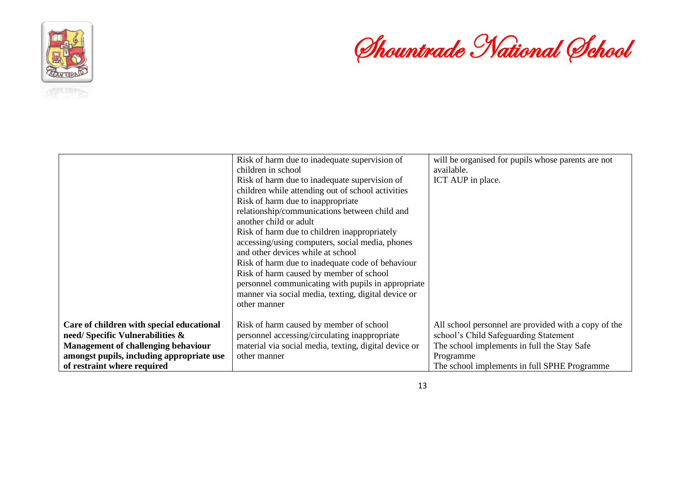

Shountrade National School

|                                            | Risk of harm due to inadequate supervision of<br>children in school<br>Risk of harm due to inadequate supervision of<br>children while attending out of school activities | will be organised for pupils whose parents are not<br>available.<br>ICT AUP in place. |
|--------------------------------------------|---------------------------------------------------------------------------------------------------------------------------------------------------------------------------|---------------------------------------------------------------------------------------|
|                                            | Risk of harm due to inappropriate<br>relationship/communications between child and<br>another child or adult                                                              |                                                                                       |
|                                            | Risk of harm due to children inappropriately<br>accessing/using computers, social media, phones<br>and other devices while at school                                      |                                                                                       |
|                                            | Risk of harm due to inadequate code of behaviour<br>Risk of harm caused by member of school<br>personnel communicating with pupils in appropriate                         |                                                                                       |
|                                            | manner via social media, texting, digital device or<br>other manner                                                                                                       |                                                                                       |
| Care of children with special educational  | Risk of harm caused by member of school                                                                                                                                   | All school personnel are provided with a copy of the                                  |
| need/Specific Vulnerabilities &            | personnel accessing/circulating inappropriate                                                                                                                             | school's Child Safeguarding Statement                                                 |
| <b>Management of challenging behaviour</b> | material via social media, texting, digital device or                                                                                                                     | The school implements in full the Stay Safe                                           |
| amongst pupils, including appropriate use  | other manner                                                                                                                                                              | Programme                                                                             |
| of restraint where required                |                                                                                                                                                                           | The school implements in full SPHE Programme                                          |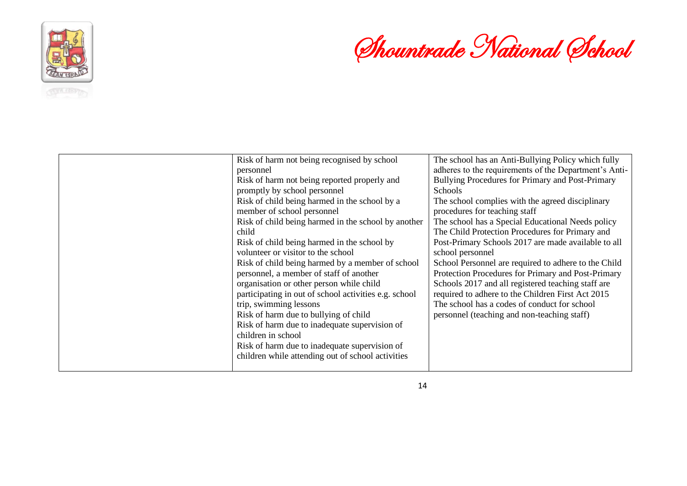

# Shountrade National School

| Risk of harm not being recognised by school<br>personnel<br>Risk of harm not being reported properly and<br>promptly by school personnel<br>Risk of child being harmed in the school by a<br>member of school personnel<br>Risk of child being harmed in the school by another<br>child<br>Risk of child being harmed in the school by<br>volunteer or visitor to the school<br>Risk of child being harmed by a member of school<br>personnel, a member of staff of another<br>organisation or other person while child<br>participating in out of school activities e.g. school<br>trip, swimming lessons<br>Risk of harm due to bullying of child<br>Risk of harm due to inadequate supervision of<br>children in school<br>Risk of harm due to inadequate supervision of<br>children while attending out of school activities | The school has an Anti-Bullying Policy which fully<br>adheres to the requirements of the Department's Anti-<br>Bullying Procedures for Primary and Post-Primary<br>Schools<br>The school complies with the agreed disciplinary<br>procedures for teaching staff<br>The school has a Special Educational Needs policy<br>The Child Protection Procedures for Primary and<br>Post-Primary Schools 2017 are made available to all<br>school personnel<br>School Personnel are required to adhere to the Child<br>Protection Procedures for Primary and Post-Primary<br>Schools 2017 and all registered teaching staff are<br>required to adhere to the Children First Act 2015<br>The school has a codes of conduct for school<br>personnel (teaching and non-teaching staff) |
|----------------------------------------------------------------------------------------------------------------------------------------------------------------------------------------------------------------------------------------------------------------------------------------------------------------------------------------------------------------------------------------------------------------------------------------------------------------------------------------------------------------------------------------------------------------------------------------------------------------------------------------------------------------------------------------------------------------------------------------------------------------------------------------------------------------------------------|----------------------------------------------------------------------------------------------------------------------------------------------------------------------------------------------------------------------------------------------------------------------------------------------------------------------------------------------------------------------------------------------------------------------------------------------------------------------------------------------------------------------------------------------------------------------------------------------------------------------------------------------------------------------------------------------------------------------------------------------------------------------------|
|                                                                                                                                                                                                                                                                                                                                                                                                                                                                                                                                                                                                                                                                                                                                                                                                                                  |                                                                                                                                                                                                                                                                                                                                                                                                                                                                                                                                                                                                                                                                                                                                                                            |

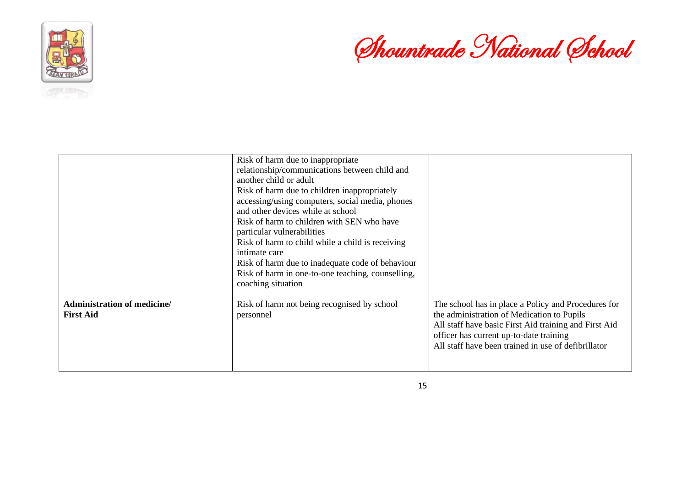



|                                                 | Risk of harm due to inappropriate<br>relationship/communications between child and<br>another child or adult<br>Risk of harm due to children inappropriately<br>accessing/using computers, social media, phones<br>and other devices while at school<br>Risk of harm to children with SEN who have<br>particular vulnerabilities<br>Risk of harm to child while a child is receiving<br>intimate care<br>Risk of harm due to inadequate code of behaviour<br>Risk of harm in one-to-one teaching, counselling,<br>coaching situation |                                                                                                                                                                                                                                                              |
|-------------------------------------------------|--------------------------------------------------------------------------------------------------------------------------------------------------------------------------------------------------------------------------------------------------------------------------------------------------------------------------------------------------------------------------------------------------------------------------------------------------------------------------------------------------------------------------------------|--------------------------------------------------------------------------------------------------------------------------------------------------------------------------------------------------------------------------------------------------------------|
| Administration of medicine/<br><b>First Aid</b> | Risk of harm not being recognised by school<br>personnel                                                                                                                                                                                                                                                                                                                                                                                                                                                                             | The school has in place a Policy and Procedures for<br>the administration of Medication to Pupils<br>All staff have basic First Aid training and First Aid<br>officer has current up-to-date training<br>All staff have been trained in use of defibrillator |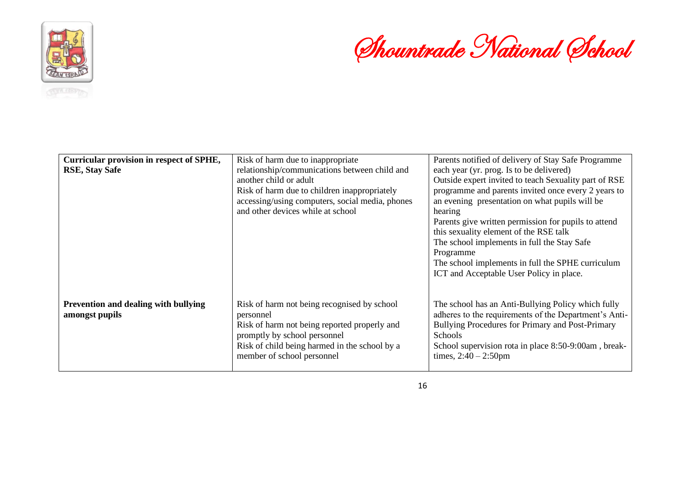

Shountrade National School

| Curricular provision in respect of SPHE,<br><b>RSE, Stay Safe</b> | Risk of harm due to inappropriate<br>relationship/communications between child and<br>another child or adult<br>Risk of harm due to children inappropriately<br>accessing/using computers, social media, phones<br>and other devices while at school | Parents notified of delivery of Stay Safe Programme<br>each year (yr. prog. Is to be delivered)<br>Outside expert invited to teach Sexuality part of RSE<br>programme and parents invited once every 2 years to<br>an evening presentation on what pupils will be<br>hearing<br>Parents give written permission for pupils to attend<br>this sexuality element of the RSE talk |
|-------------------------------------------------------------------|------------------------------------------------------------------------------------------------------------------------------------------------------------------------------------------------------------------------------------------------------|--------------------------------------------------------------------------------------------------------------------------------------------------------------------------------------------------------------------------------------------------------------------------------------------------------------------------------------------------------------------------------|
|                                                                   |                                                                                                                                                                                                                                                      | The school implements in full the Stay Safe<br>Programme<br>The school implements in full the SPHE curriculum<br>ICT and Acceptable User Policy in place.                                                                                                                                                                                                                      |
| Prevention and dealing with bullying<br>amongst pupils            | Risk of harm not being recognised by school<br>personnel<br>Risk of harm not being reported properly and<br>promptly by school personnel<br>Risk of child being harmed in the school by a<br>member of school personnel                              | The school has an Anti-Bullying Policy which fully<br>adheres to the requirements of the Department's Anti-<br>Bullying Procedures for Primary and Post-Primary<br>Schools<br>School supervision rota in place 8:50-9:00am, break-<br>times, $2:40 - 2:50$ pm                                                                                                                  |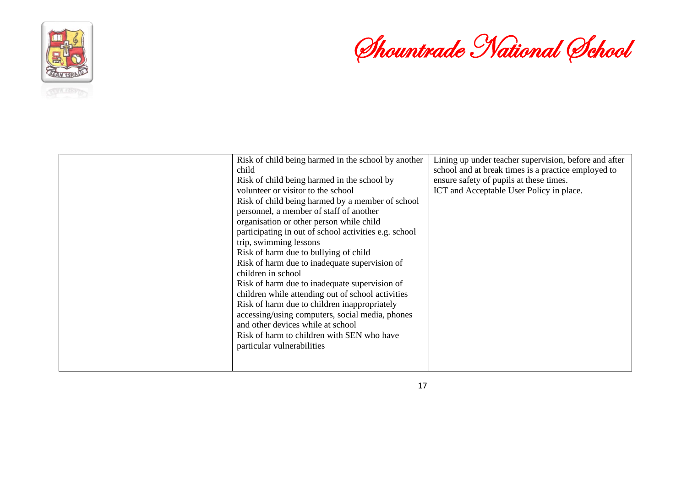

# Shountrade National School

| Risk of child being harmed in the school by another   | Lining up under teacher supervision, before and after |
|-------------------------------------------------------|-------------------------------------------------------|
| child                                                 | school and at break times is a practice employed to   |
| Risk of child being harmed in the school by           | ensure safety of pupils at these times.               |
| volunteer or visitor to the school                    | ICT and Acceptable User Policy in place.              |
| Risk of child being harmed by a member of school      |                                                       |
| personnel, a member of staff of another               |                                                       |
| organisation or other person while child              |                                                       |
| participating in out of school activities e.g. school |                                                       |
| trip, swimming lessons                                |                                                       |
| Risk of harm due to bullying of child                 |                                                       |
| Risk of harm due to inadequate supervision of         |                                                       |
| children in school                                    |                                                       |
| Risk of harm due to inadequate supervision of         |                                                       |
| children while attending out of school activities     |                                                       |
| Risk of harm due to children inappropriately          |                                                       |
| accessing/using computers, social media, phones       |                                                       |
| and other devices while at school                     |                                                       |
| Risk of harm to children with SEN who have            |                                                       |
| particular vulnerabilities                            |                                                       |
|                                                       |                                                       |
|                                                       |                                                       |

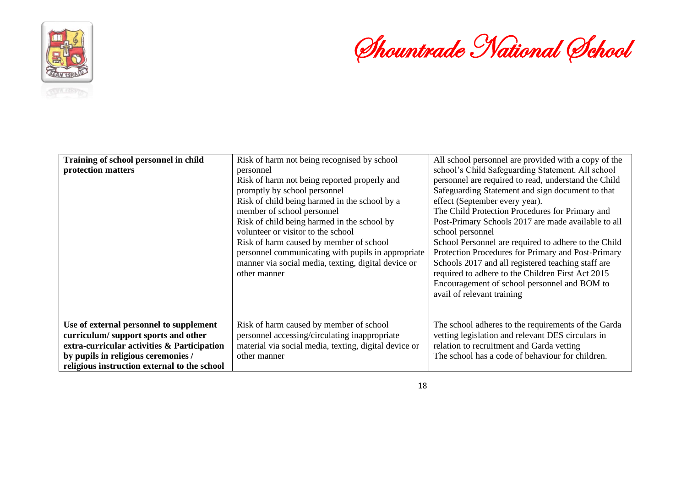



| Training of school personnel in child<br>protection matters                                                                                                                                                          | Risk of harm not being recognised by school<br>personnel<br>Risk of harm not being reported properly and<br>promptly by school personnel<br>Risk of child being harmed in the school by a<br>member of school personnel<br>Risk of child being harmed in the school by<br>volunteer or visitor to the school<br>Risk of harm caused by member of school<br>personnel communicating with pupils in appropriate<br>manner via social media, texting, digital device or<br>other manner | All school personnel are provided with a copy of the<br>school's Child Safeguarding Statement. All school<br>personnel are required to read, understand the Child<br>Safeguarding Statement and sign document to that<br>effect (September every year).<br>The Child Protection Procedures for Primary and<br>Post-Primary Schools 2017 are made available to all<br>school personnel<br>School Personnel are required to adhere to the Child<br>Protection Procedures for Primary and Post-Primary<br>Schools 2017 and all registered teaching staff are<br>required to adhere to the Children First Act 2015<br>Encouragement of school personnel and BOM to<br>avail of relevant training |
|----------------------------------------------------------------------------------------------------------------------------------------------------------------------------------------------------------------------|--------------------------------------------------------------------------------------------------------------------------------------------------------------------------------------------------------------------------------------------------------------------------------------------------------------------------------------------------------------------------------------------------------------------------------------------------------------------------------------|----------------------------------------------------------------------------------------------------------------------------------------------------------------------------------------------------------------------------------------------------------------------------------------------------------------------------------------------------------------------------------------------------------------------------------------------------------------------------------------------------------------------------------------------------------------------------------------------------------------------------------------------------------------------------------------------|
| Use of external personnel to supplement<br>curriculum/support sports and other<br>extra-curricular activities & Participation<br>by pupils in religious ceremonies /<br>religious instruction external to the school | Risk of harm caused by member of school<br>personnel accessing/circulating inappropriate<br>material via social media, texting, digital device or<br>other manner                                                                                                                                                                                                                                                                                                                    | The school adheres to the requirements of the Garda<br>vetting legislation and relevant DES circulars in<br>relation to recruitment and Garda vetting<br>The school has a code of behaviour for children.                                                                                                                                                                                                                                                                                                                                                                                                                                                                                    |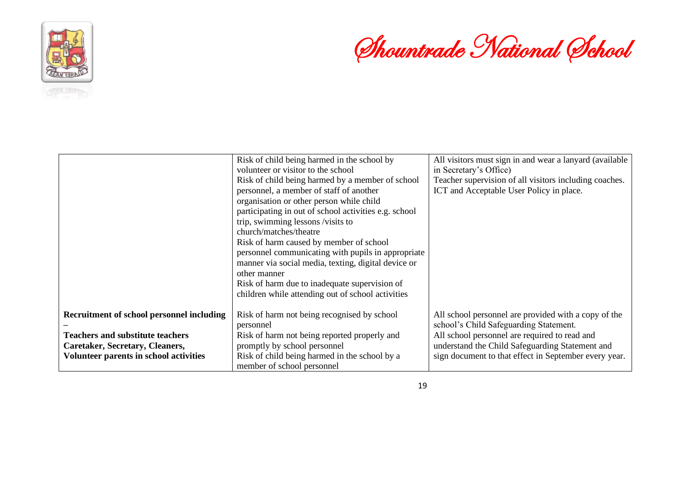

Shountrade National School

|                                               | Risk of child being harmed in the school by           | All visitors must sign in and wear a lanyard (available |
|-----------------------------------------------|-------------------------------------------------------|---------------------------------------------------------|
|                                               | volunteer or visitor to the school                    | in Secretary's Office)                                  |
|                                               | Risk of child being harmed by a member of school      | Teacher supervision of all visitors including coaches.  |
|                                               | personnel, a member of staff of another               | ICT and Acceptable User Policy in place.                |
|                                               | organisation or other person while child              |                                                         |
|                                               | participating in out of school activities e.g. school |                                                         |
|                                               | trip, swimming lessons /visits to                     |                                                         |
|                                               | church/matches/theatre                                |                                                         |
|                                               | Risk of harm caused by member of school               |                                                         |
|                                               | personnel communicating with pupils in appropriate    |                                                         |
|                                               | manner via social media, texting, digital device or   |                                                         |
|                                               | other manner                                          |                                                         |
|                                               | Risk of harm due to inadequate supervision of         |                                                         |
|                                               | children while attending out of school activities     |                                                         |
|                                               |                                                       |                                                         |
| Recruitment of school personnel including     | Risk of harm not being recognised by school           | All school personnel are provided with a copy of the    |
|                                               | personnel                                             | school's Child Safeguarding Statement.                  |
| <b>Teachers and substitute teachers</b>       | Risk of harm not being reported properly and          | All school personnel are required to read and           |
| Caretaker, Secretary, Cleaners,               | promptly by school personnel                          | understand the Child Safeguarding Statement and         |
| <b>Volunteer parents in school activities</b> | Risk of child being harmed in the school by a         | sign document to that effect in September every year.   |
|                                               | member of school personnel                            |                                                         |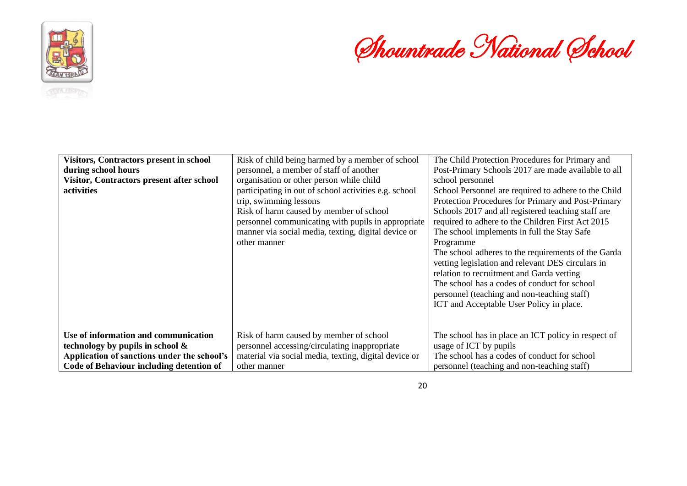



| <b>Visitors, Contractors present in school</b> | Risk of child being harmed by a member of school                                                                                                                                                                                                        | The Child Protection Procedures for Primary and                                                                                                                                                                                                                                                                                                                                                                                                                                                                                                                                       |
|------------------------------------------------|---------------------------------------------------------------------------------------------------------------------------------------------------------------------------------------------------------------------------------------------------------|---------------------------------------------------------------------------------------------------------------------------------------------------------------------------------------------------------------------------------------------------------------------------------------------------------------------------------------------------------------------------------------------------------------------------------------------------------------------------------------------------------------------------------------------------------------------------------------|
| during school hours                            | personnel, a member of staff of another                                                                                                                                                                                                                 | Post-Primary Schools 2017 are made available to all                                                                                                                                                                                                                                                                                                                                                                                                                                                                                                                                   |
| Visitor, Contractors present after school      | organisation or other person while child                                                                                                                                                                                                                | school personnel                                                                                                                                                                                                                                                                                                                                                                                                                                                                                                                                                                      |
| activities                                     | participating in out of school activities e.g. school<br>trip, swimming lessons<br>Risk of harm caused by member of school<br>personnel communicating with pupils in appropriate<br>manner via social media, texting, digital device or<br>other manner | School Personnel are required to adhere to the Child<br>Protection Procedures for Primary and Post-Primary<br>Schools 2017 and all registered teaching staff are<br>required to adhere to the Children First Act 2015<br>The school implements in full the Stay Safe<br>Programme<br>The school adheres to the requirements of the Garda<br>vetting legislation and relevant DES circulars in<br>relation to recruitment and Garda vetting<br>The school has a codes of conduct for school<br>personnel (teaching and non-teaching staff)<br>ICT and Acceptable User Policy in place. |
|                                                |                                                                                                                                                                                                                                                         |                                                                                                                                                                                                                                                                                                                                                                                                                                                                                                                                                                                       |
| Use of information and communication           | Risk of harm caused by member of school                                                                                                                                                                                                                 | The school has in place an ICT policy in respect of                                                                                                                                                                                                                                                                                                                                                                                                                                                                                                                                   |
| technology by pupils in school $\&$            | personnel accessing/circulating inappropriate                                                                                                                                                                                                           | usage of ICT by pupils                                                                                                                                                                                                                                                                                                                                                                                                                                                                                                                                                                |
| Application of sanctions under the school's    | material via social media, texting, digital device or                                                                                                                                                                                                   | The school has a codes of conduct for school                                                                                                                                                                                                                                                                                                                                                                                                                                                                                                                                          |
| Code of Behaviour including detention of       | other manner                                                                                                                                                                                                                                            | personnel (teaching and non-teaching staff)                                                                                                                                                                                                                                                                                                                                                                                                                                                                                                                                           |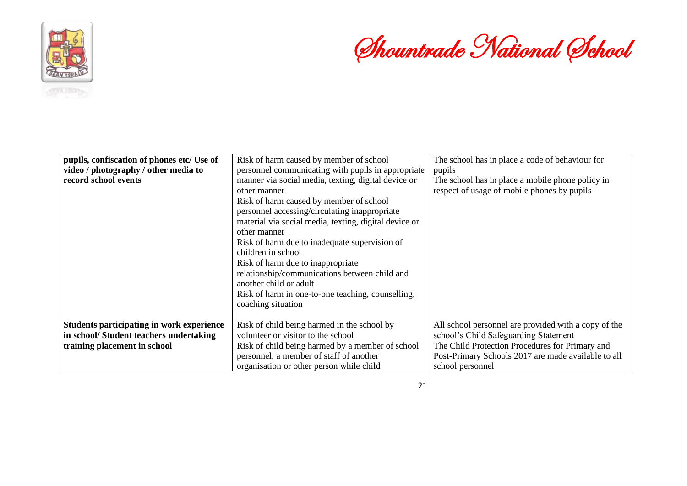

Shountrade National School

| pupils, confiscation of phones etc/ Use of | Risk of harm caused by member of school               | The school has in place a code of behaviour for      |
|--------------------------------------------|-------------------------------------------------------|------------------------------------------------------|
| video / photography / other media to       | personnel communicating with pupils in appropriate    | pupils                                               |
| record school events                       | manner via social media, texting, digital device or   | The school has in place a mobile phone policy in     |
|                                            | other manner                                          | respect of usage of mobile phones by pupils          |
|                                            | Risk of harm caused by member of school               |                                                      |
|                                            | personnel accessing/circulating inappropriate         |                                                      |
|                                            | material via social media, texting, digital device or |                                                      |
|                                            | other manner                                          |                                                      |
|                                            | Risk of harm due to inadequate supervision of         |                                                      |
|                                            | children in school                                    |                                                      |
|                                            | Risk of harm due to inappropriate                     |                                                      |
|                                            | relationship/communications between child and         |                                                      |
|                                            | another child or adult                                |                                                      |
|                                            | Risk of harm in one-to-one teaching, counselling,     |                                                      |
|                                            | coaching situation                                    |                                                      |
|                                            |                                                       |                                                      |
| Students participating in work experience  | Risk of child being harmed in the school by           | All school personnel are provided with a copy of the |
| in school/Student teachers undertaking     | volunteer or visitor to the school                    | school's Child Safeguarding Statement                |
| training placement in school               | Risk of child being harmed by a member of school      | The Child Protection Procedures for Primary and      |
|                                            | personnel, a member of staff of another               | Post-Primary Schools 2017 are made available to all  |
|                                            | organisation or other person while child              | school personnel                                     |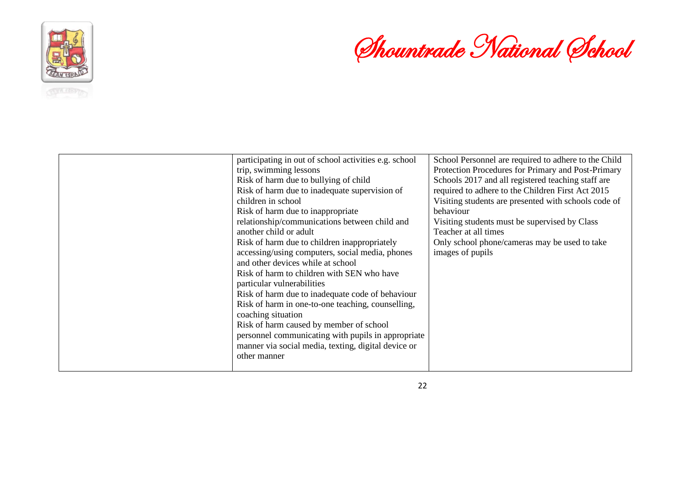

# Shountrade National School

| participating in out of school activities e.g. school<br>trip, swimming lessons<br>Risk of harm due to bullying of child<br>Risk of harm due to inadequate supervision of<br>children in school<br>Risk of harm due to inappropriate<br>relationship/communications between child and<br>another child or adult<br>Risk of harm due to children inappropriately<br>accessing/using computers, social media, phones<br>and other devices while at school<br>Risk of harm to children with SEN who have<br>particular vulnerabilities<br>Risk of harm due to inadequate code of behaviour<br>Risk of harm in one-to-one teaching, counselling,<br>coaching situation<br>Risk of harm caused by member of school<br>personnel communicating with pupils in appropriate<br>manner via social media, texting, digital device or<br>other manner | School Personnel are required to adhere to the Child<br>Protection Procedures for Primary and Post-Primary<br>Schools 2017 and all registered teaching staff are<br>required to adhere to the Children First Act 2015<br>Visiting students are presented with schools code of<br>behaviour<br>Visiting students must be supervised by Class<br>Teacher at all times<br>Only school phone/cameras may be used to take<br>images of pupils |
|--------------------------------------------------------------------------------------------------------------------------------------------------------------------------------------------------------------------------------------------------------------------------------------------------------------------------------------------------------------------------------------------------------------------------------------------------------------------------------------------------------------------------------------------------------------------------------------------------------------------------------------------------------------------------------------------------------------------------------------------------------------------------------------------------------------------------------------------|------------------------------------------------------------------------------------------------------------------------------------------------------------------------------------------------------------------------------------------------------------------------------------------------------------------------------------------------------------------------------------------------------------------------------------------|

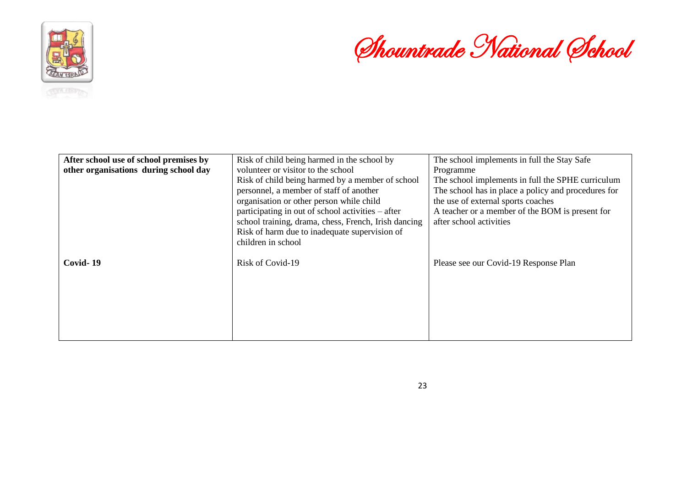

Shountrade National School

| After school use of school premises by | Risk of child being harmed in the school by          | The school implements in full the Stay Safe         |
|----------------------------------------|------------------------------------------------------|-----------------------------------------------------|
| other organisations during school day  | volunteer or visitor to the school                   | Programme                                           |
|                                        | Risk of child being harmed by a member of school     | The school implements in full the SPHE curriculum   |
|                                        | personnel, a member of staff of another              | The school has in place a policy and procedures for |
|                                        | organisation or other person while child             | the use of external sports coaches                  |
|                                        | participating in out of school activities – after    | A teacher or a member of the BOM is present for     |
|                                        | school training, drama, chess, French, Irish dancing | after school activities                             |
|                                        | Risk of harm due to inadequate supervision of        |                                                     |
|                                        | children in school                                   |                                                     |
|                                        |                                                      |                                                     |
| Covid-19                               | Risk of Covid-19                                     | Please see our Covid-19 Response Plan               |
|                                        |                                                      |                                                     |
|                                        |                                                      |                                                     |
|                                        |                                                      |                                                     |
|                                        |                                                      |                                                     |
|                                        |                                                      |                                                     |
|                                        |                                                      |                                                     |
|                                        |                                                      |                                                     |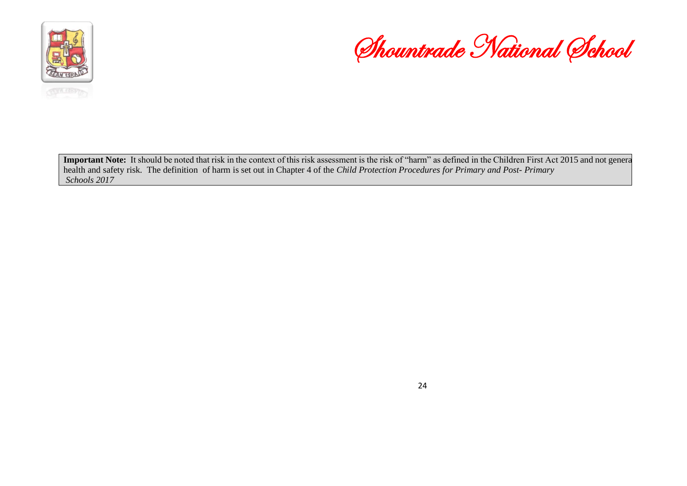



Important Note: It should be noted that risk in the context of this risk assessment is the risk of "harm" as defined in the Children First Act 2015 and not general health and safety risk. The definition of harm is set out in Chapter 4 of the *Child Protection Procedures for Primary and Post- Primary Schools 2017*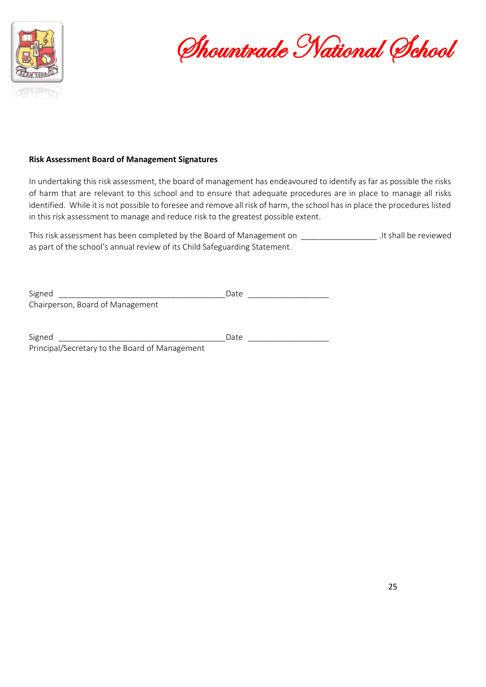

Shountrade National School

#### **Risk Assessment Board of Management Signatures**

In undertaking this risk assessment, the board of management has endeavoured to identify as far as possible the risks of harm that are relevant to this school and to ensure that adequate procedures are in place to manage all risks identified. While it is not possible to foresee and remove all risk of harm, the school has in place the procedures listed in this risk assessment to manage and reduce risk to the greatest possible extent.

This risk assessment has been completed by the Board of Management on \_\_\_\_\_\_\_\_\_\_\_\_\_\_\_\_\_ .It shall be reviewed as part of the school's annual review of its Child Safeguarding Statement.

| Signed                                         | Date |
|------------------------------------------------|------|
| Chairperson, Board of Management               |      |
|                                                |      |
|                                                |      |
| Signed                                         | Date |
| Principal/Secretary to the Board of Management |      |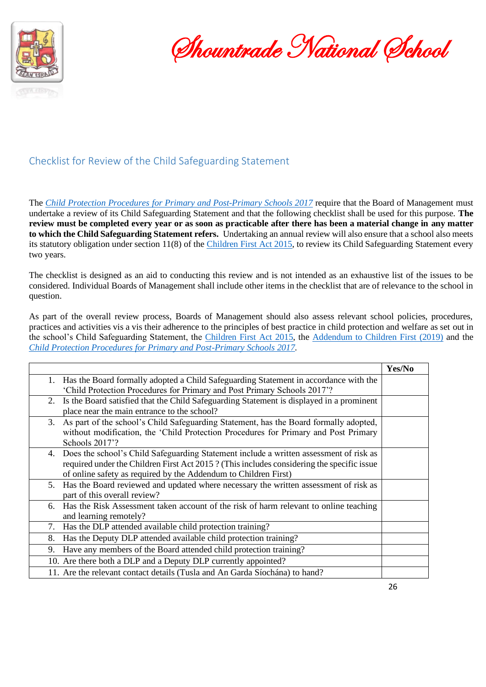

Shountrade National School

#### Checklist for Review of the Child Safeguarding Statement

The *[Child Protection Procedures for Primary and Post-Primary Schools 2017](https://www.gov.ie/pdf/?file=https://assets.gov.ie/45063/2d4b5b3d781e4ec1ab4f3e5d198717d9.pdf#page=1)* require that the Board of Management must undertake a review of its Child Safeguarding Statement and that the following checklist shall be used for this purpose. **The review must be completed every year or as soon as practicable after there has been a material change in any matter to which the Child Safeguarding Statement refers.** Undertaking an annual review will also ensure that a school also meets its statutory obligation under section 11(8) of the [Children First Act 2015,](http://www.irishstatutebook.ie/eli/2015/act/36/enacted/en/pdf) to review its Child Safeguarding Statement every two years.

The checklist is designed as an aid to conducting this review and is not intended as an exhaustive list of the issues to be considered. Individual Boards of Management shall include other items in the checklist that are of relevance to the school in question.

As part of the overall review process, Boards of Management should also assess relevant school policies, procedures, practices and activities vis a vis their adherence to the principles of best practice in child protection and welfare as set out in the school's Child Safeguarding Statement, the [Children First Act 2015,](http://www.irishstatutebook.ie/eli/2015/act/36/enacted/en/pdf) the [Addendum to Children First \(2019\)](https://assets.gov.ie/25819/c9744b64dfd6447985eeffa5c0d71bbb.pdf) and the *[Child Protection Procedures for Primary and Post-Primary Schools 2017.](https://www.gov.ie/pdf/?file=https://assets.gov.ie/45063/2d4b5b3d781e4ec1ab4f3e5d198717d9.pdf#page=1)*

|    |                                                                                           | Yes/No |
|----|-------------------------------------------------------------------------------------------|--------|
|    | 1. Has the Board formally adopted a Child Safeguarding Statement in accordance with the   |        |
|    | 'Child Protection Procedures for Primary and Post Primary Schools 2017'?                  |        |
| 2. | Is the Board satisfied that the Child Safeguarding Statement is displayed in a prominent  |        |
|    | place near the main entrance to the school?                                               |        |
| 3. | As part of the school's Child Safeguarding Statement, has the Board formally adopted,     |        |
|    | without modification, the 'Child Protection Procedures for Primary and Post Primary       |        |
|    | Schools 2017'?                                                                            |        |
|    | 4. Does the school's Child Safeguarding Statement include a written assessment of risk as |        |
|    | required under the Children First Act 2015? (This includes considering the specific issue |        |
|    | of online safety as required by the Addendum to Children First)                           |        |
|    | 5. Has the Board reviewed and updated where necessary the written assessment of risk as   |        |
|    | part of this overall review?                                                              |        |
|    | 6. Has the Risk Assessment taken account of the risk of harm relevant to online teaching  |        |
|    | and learning remotely?                                                                    |        |
| 7. | Has the DLP attended available child protection training?                                 |        |
| 8. | Has the Deputy DLP attended available child protection training?                          |        |
| 9. | Have any members of the Board attended child protection training?                         |        |
|    | 10. Are there both a DLP and a Deputy DLP currently appointed?                            |        |
|    | 11. Are the relevant contact details (Tusla and An Garda Síochána) to hand?               |        |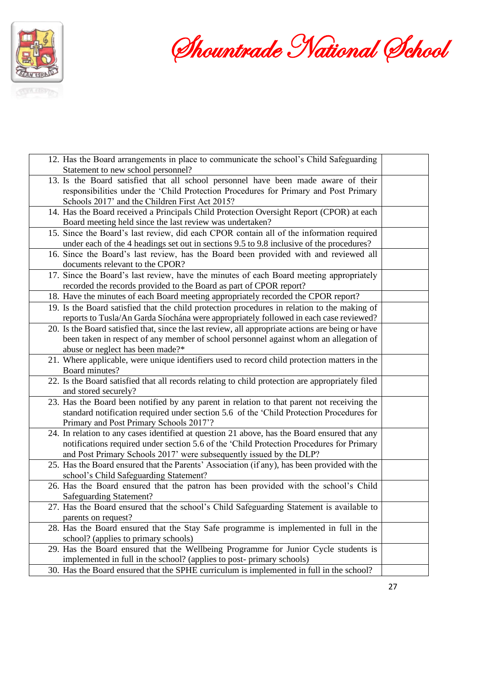

Shountrade National School

| 12. Has the Board arrangements in place to communicate the school's Child Safeguarding            |  |
|---------------------------------------------------------------------------------------------------|--|
| Statement to new school personnel?                                                                |  |
| 13. Is the Board satisfied that all school personnel have been made aware of their                |  |
| responsibilities under the 'Child Protection Procedures for Primary and Post Primary              |  |
| Schools 2017' and the Children First Act 2015?                                                    |  |
| 14. Has the Board received a Principals Child Protection Oversight Report (CPOR) at each          |  |
| Board meeting held since the last review was undertaken?                                          |  |
| 15. Since the Board's last review, did each CPOR contain all of the information required          |  |
| under each of the 4 headings set out in sections 9.5 to 9.8 inclusive of the procedures?          |  |
| 16. Since the Board's last review, has the Board been provided with and reviewed all              |  |
| documents relevant to the CPOR?                                                                   |  |
| 17. Since the Board's last review, have the minutes of each Board meeting appropriately           |  |
| recorded the records provided to the Board as part of CPOR report?                                |  |
| 18. Have the minutes of each Board meeting appropriately recorded the CPOR report?                |  |
| 19. Is the Board satisfied that the child protection procedures in relation to the making of      |  |
| reports to Tusla/An Garda Síochána were appropriately followed in each case reviewed?             |  |
| 20. Is the Board satisfied that, since the last review, all appropriate actions are being or have |  |
| been taken in respect of any member of school personnel against whom an allegation of             |  |
| abuse or neglect has been made?*                                                                  |  |
| 21. Where applicable, were unique identifiers used to record child protection matters in the      |  |
| Board minutes?                                                                                    |  |
| 22. Is the Board satisfied that all records relating to child protection are appropriately filed  |  |
| and stored securely?                                                                              |  |
| 23. Has the Board been notified by any parent in relation to that parent not receiving the        |  |
| standard notification required under section 5.6 of the 'Child Protection Procedures for          |  |
| Primary and Post Primary Schools 2017'?                                                           |  |
| 24. In relation to any cases identified at question 21 above, has the Board ensured that any      |  |
| notifications required under section 5.6 of the 'Child Protection Procedures for Primary          |  |
| and Post Primary Schools 2017' were subsequently issued by the DLP?                               |  |
| 25. Has the Board ensured that the Parents' Association (if any), has been provided with the      |  |
| school's Child Safeguarding Statement?                                                            |  |
| 26. Has the Board ensured that the patron has been provided with the school's Child               |  |
| Safeguarding Statement?                                                                           |  |
| 27. Has the Board ensured that the school's Child Safeguarding Statement is available to          |  |
| parents on request?                                                                               |  |
| 28. Has the Board ensured that the Stay Safe programme is implemented in full in the              |  |
| school? (applies to primary schools)                                                              |  |
| 29. Has the Board ensured that the Wellbeing Programme for Junior Cycle students is               |  |
| implemented in full in the school? (applies to post-primary schools)                              |  |
| 30. Has the Board ensured that the SPHE curriculum is implemented in full in the school?          |  |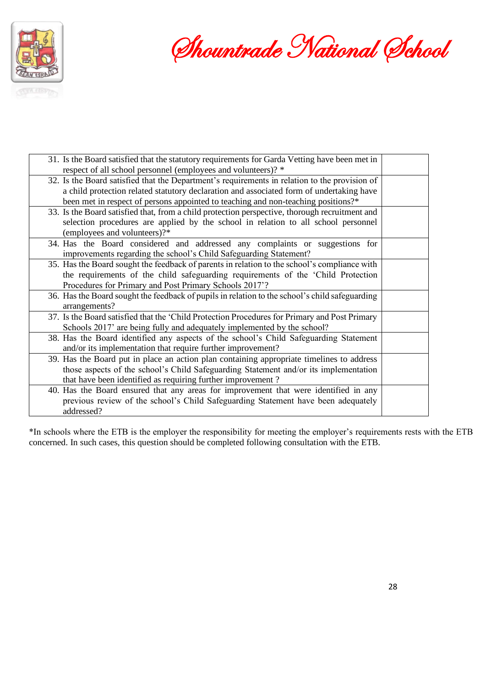

Shountrade National School

| 31. Is the Board satisfied that the statutory requirements for Garda Vetting have been met in  |  |
|------------------------------------------------------------------------------------------------|--|
| respect of all school personnel (employees and volunteers)? *                                  |  |
| 32. Is the Board satisfied that the Department's requirements in relation to the provision of  |  |
| a child protection related statutory declaration and associated form of undertaking have       |  |
| been met in respect of persons appointed to teaching and non-teaching positions?*              |  |
| 33. Is the Board satisfied that, from a child protection perspective, thorough recruitment and |  |
| selection procedures are applied by the school in relation to all school personnel             |  |
| (employees and volunteers)?*                                                                   |  |
| 34. Has the Board considered and addressed any complaints or suggestions for                   |  |
| improvements regarding the school's Child Safeguarding Statement?                              |  |
| 35. Has the Board sought the feedback of parents in relation to the school's compliance with   |  |
| the requirements of the child safeguarding requirements of the 'Child Protection               |  |
| Procedures for Primary and Post Primary Schools 2017'?                                         |  |
| 36. Has the Board sought the feedback of pupils in relation to the school's child safeguarding |  |
| arrangements?                                                                                  |  |
| 37. Is the Board satisfied that the 'Child Protection Procedures for Primary and Post Primary  |  |
| Schools 2017' are being fully and adequately implemented by the school?                        |  |
| 38. Has the Board identified any aspects of the school's Child Safeguarding Statement          |  |
| and/or its implementation that require further improvement?                                    |  |
| 39. Has the Board put in place an action plan containing appropriate timelines to address      |  |
| those aspects of the school's Child Safeguarding Statement and/or its implementation           |  |
| that have been identified as requiring further improvement?                                    |  |
| 40. Has the Board ensured that any areas for improvement that were identified in any           |  |
| previous review of the school's Child Safeguarding Statement have been adequately              |  |
| addressed?                                                                                     |  |
|                                                                                                |  |

\*In schools where the ETB is the employer the responsibility for meeting the employer's requirements rests with the ETB concerned. In such cases, this question should be completed following consultation with the ETB.